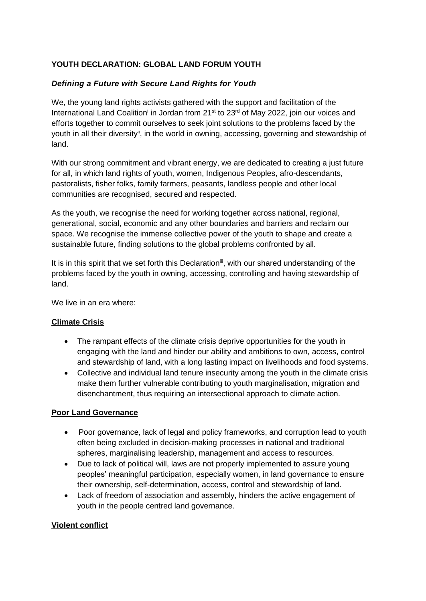# **YOUTH DECLARATION: GLOBAL LAND FORUM YOUTH**

## *Defining a Future with Secure Land Rights for Youth*

We, the young land rights activists gathered with the support and facilitation of the International Land Coalition<sup>i</sup> in Jordan from 21<sup>st</sup> to 23<sup>rd</sup> of May 2022, join our voices and efforts together to commit ourselves to seek joint solutions to the problems faced by the youth in all their diversity<sup>ii</sup>, in the world in owning, accessing, governing and stewardship of land.

With our strong commitment and vibrant energy, we are dedicated to creating a just future for all, in which land rights of youth, women, Indigenous Peoples, afro-descendants, pastoralists, fisher folks, family farmers, peasants, landless people and other local communities are recognised, secured and respected.

As the youth, we recognise the need for working together across national, regional, generational, social, economic and any other boundaries and barriers and reclaim our space. We recognise the immense collective power of the youth to shape and create a sustainable future, finding solutions to the global problems confronted by all.

It is in this spirit that we set forth this Declaration<sup>ii</sup>, with our shared understanding of the problems faced by the youth in owning, accessing, controlling and having stewardship of land.

We live in an era where:

## **Climate Crisis**

- The rampant effects of the climate crisis deprive opportunities for the youth in engaging with the land and hinder our ability and ambitions to own, access, control and stewardship of land, with a long lasting impact on livelihoods and food systems.
- Collective and individual land tenure insecurity among the youth in the climate crisis make them further vulnerable contributing to youth marginalisation, migration and disenchantment, thus requiring an intersectional approach to climate action.

## **Poor Land Governance**

- Poor governance, lack of legal and policy frameworks, and corruption lead to youth often being excluded in decision-making processes in national and traditional spheres, marginalising leadership, management and access to resources.
- Due to lack of political will, laws are not properly implemented to assure young peoples' meaningful participation, especially women, in land governance to ensure their ownership, self-determination, access, control and stewardship of land.
- Lack of freedom of association and assembly, hinders the active engagement of youth in the people centred land governance.

## **Violent conflict**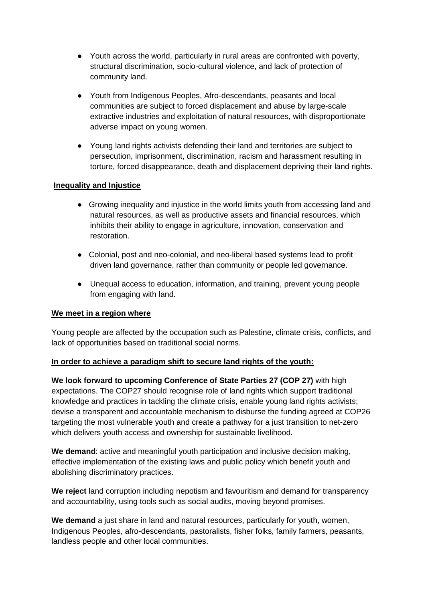- Youth across the world, particularly in rural areas are confronted with poverty, structural discrimination, socio-cultural violence, and lack of protection of community land.
- Youth from Indigenous Peoples, Afro-descendants, peasants and local communities are subject to forced displacement and abuse by large-scale extractive industries and exploitation of natural resources, with disproportionate adverse impact on young women.
- Young land rights activists defending their land and territories are subject to persecution, imprisonment, discrimination, racism and harassment resulting in torture, forced disappearance, death and displacement depriving their land rights.

### **Inequality and Injustice**

- Growing inequality and injustice in the world limits youth from accessing land and natural resources, as well as productive assets and financial resources, which inhibits their ability to engage in agriculture, innovation, conservation and restoration.
- Colonial, post and neo-colonial, and neo-liberal based systems lead to profit driven land governance, rather than community or people led governance.
- Unequal access to education, information, and training, prevent young people from engaging with land.

#### **We meet in a region where**

Young people are affected by the occupation such as Palestine, climate crisis, conflicts, and lack of opportunities based on traditional social norms.

#### **In order to achieve a paradigm shift to secure land rights of the youth:**

**We look forward to upcoming Conference of State Parties 27 (COP 27)** with high expectations. The COP27 should recognise role of land rights which support traditional knowledge and practices in tackling the climate crisis, enable young land rights activists; devise a transparent and accountable mechanism to disburse the funding agreed at COP26 targeting the most vulnerable youth and create a pathway for a just transition to net-zero which delivers youth access and ownership for sustainable livelihood.

**We demand**: active and meaningful youth participation and inclusive decision making, effective implementation of the existing laws and public policy which benefit youth and abolishing discriminatory practices.

**We reject** land corruption including nepotism and favouritism and demand for transparency and accountability, using tools such as social audits, moving beyond promises.

**We demand** a just share in land and natural resources, particularly for youth, women, Indigenous Peoples, afro-descendants, pastoralists, fisher folks, family farmers, peasants, landless people and other local communities.